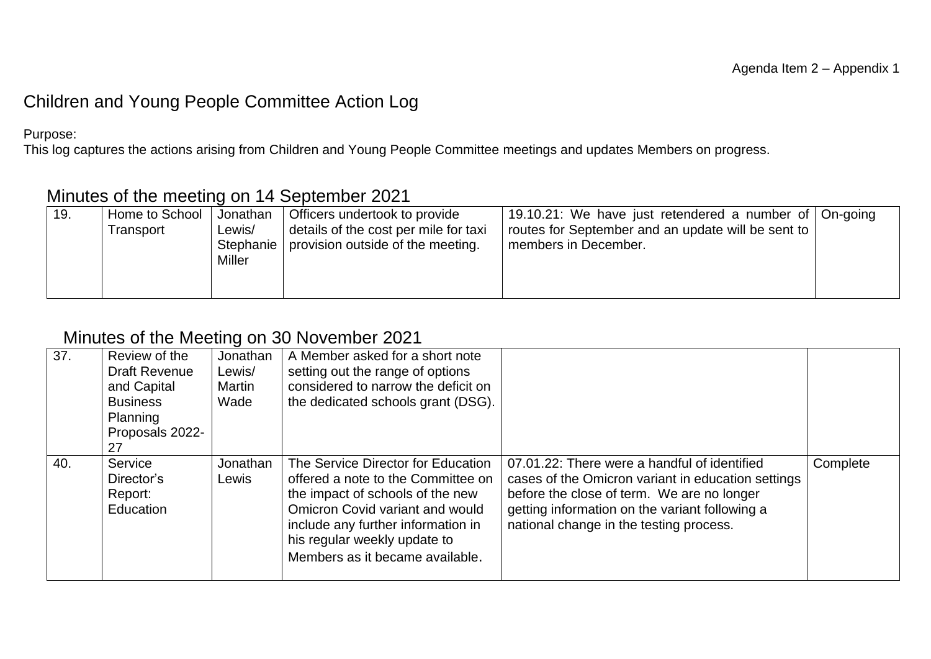## Children and Young People Committee Action Log

Purpose:

This log captures the actions arising from Children and Young People Committee meetings and updates Members on progress.

## Minutes of the meeting on 14 September 2021

| Home to School  <br>19.<br>Transport | Jonathan<br>Lewis/<br>Stephanie  <br>Miller | Officers undertook to provide<br>details of the cost per mile for taxi<br>provision outside of the meeting. | 19.10.21: We have just retendered a number of On-going<br>routes for September and an update will be sent to  <br>members in December. |  |
|--------------------------------------|---------------------------------------------|-------------------------------------------------------------------------------------------------------------|----------------------------------------------------------------------------------------------------------------------------------------|--|
|--------------------------------------|---------------------------------------------|-------------------------------------------------------------------------------------------------------------|----------------------------------------------------------------------------------------------------------------------------------------|--|

## Minutes of the Meeting on 30 November 2021

| 37. | Review of the<br><b>Draft Revenue</b><br>and Capital<br><b>Business</b><br>Planning<br>Proposals 2022-<br>27 | Jonathan<br>Lewis/<br>Martin<br>Wade | A Member asked for a short note<br>setting out the range of options<br>considered to narrow the deficit on<br>the dedicated schools grant (DSG).                                                                                                         |                                                                                                                                                                                                                                               |          |
|-----|--------------------------------------------------------------------------------------------------------------|--------------------------------------|----------------------------------------------------------------------------------------------------------------------------------------------------------------------------------------------------------------------------------------------------------|-----------------------------------------------------------------------------------------------------------------------------------------------------------------------------------------------------------------------------------------------|----------|
| 40. | Service<br>Director's<br>Report:<br>Education                                                                | Jonathan<br>Lewis                    | The Service Director for Education<br>offered a note to the Committee on<br>the impact of schools of the new<br>Omicron Covid variant and would<br>include any further information in<br>his regular weekly update to<br>Members as it became available. | 07.01.22: There were a handful of identified<br>cases of the Omicron variant in education settings<br>before the close of term. We are no longer<br>getting information on the variant following a<br>national change in the testing process. | Complete |